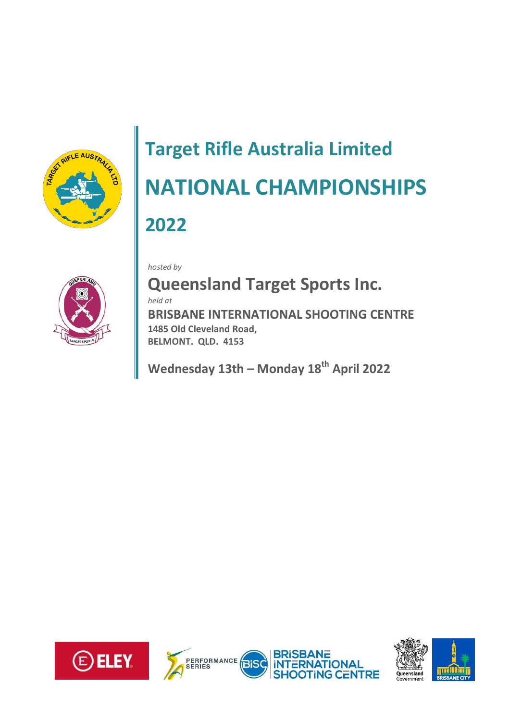

# **Target Rifle Australia Limited NATIONAL CHAMPIONSHIPS 2022**

*hosted by*



**Queensland Target Sports Inc.**

*held at*

**BRISBANE INTERNATIONAL SHOOTING CENTRE 1485 Old Cleveland Road, BELMONT. QLD. 4153** 

**Wednesday 13th – Monday 18th April 2022**



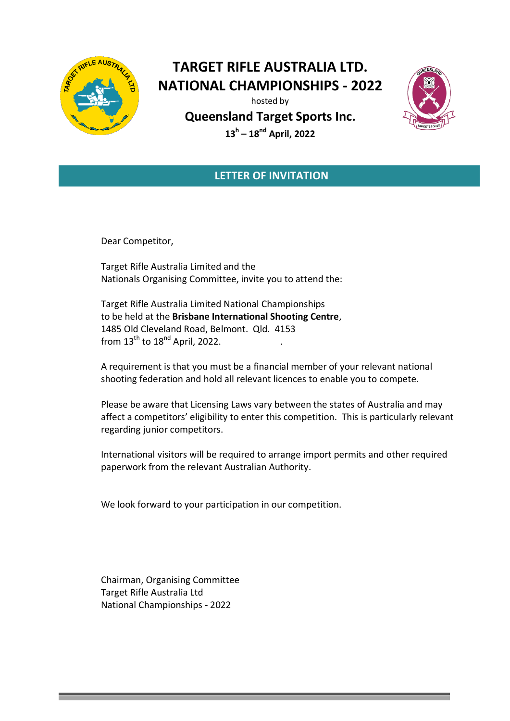

## **TARGET RIFLE AUSTRALIA LTD. NATIONAL CHAMPIONSHIPS - 2022**

hosted by

**Queensland Target Sports Inc. 13<sup>h</sup> – 18nd April, 2022**



## **LETTER OF INVITATION**

Dear Competitor,

Target Rifle Australia Limited and the Nationals Organising Committee, invite you to attend the:

Target Rifle Australia Limited National Championships to be held at the **Brisbane International Shooting Centre**, 1485 Old Cleveland Road, Belmont. Qld. 4153 from  $13^{\text{th}}$  to  $18^{\text{nd}}$  April, 2022.

A requirement is that you must be a financial member of your relevant national shooting federation and hold all relevant licences to enable you to compete.

Please be aware that Licensing Laws vary between the states of Australia and may affect a competitors' eligibility to enter this competition. This is particularly relevant regarding junior competitors.

International visitors will be required to arrange import permits and other required paperwork from the relevant Australian Authority.

We look forward to your participation in our competition.

Chairman, Organising Committee Target Rifle Australia Ltd National Championships - 2022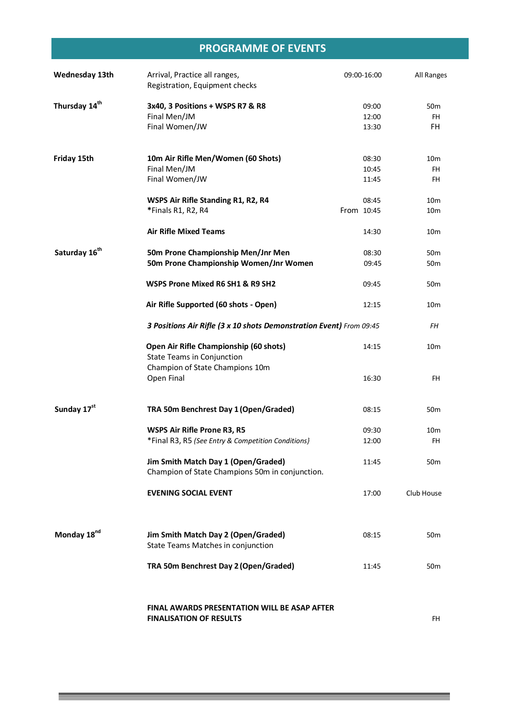## **PROGRAMME OF EVENTS**

| <b>Wednesday 13th</b>     | Arrival, Practice all ranges,<br>Registration, Equipment checks                        | 09:00-16:00             | All Ranges                         |
|---------------------------|----------------------------------------------------------------------------------------|-------------------------|------------------------------------|
| Thursday 14 <sup>th</sup> | 3x40, 3 Positions + WSPS R7 & R8<br>Final Men/JM<br>Final Women/JW                     | 09:00<br>12:00<br>13:30 | 50 <sub>m</sub><br>FH.<br>FH.      |
| Friday 15th               | 10m Air Rifle Men/Women (60 Shots)<br>Final Men/JM<br>Final Women/JW                   | 08:30<br>10:45<br>11:45 | 10 <sub>m</sub><br>FH<br>FH.       |
|                           | WSPS Air Rifle Standing R1, R2, R4<br>*Finals R1, R2, R4                               | 08:45<br>From 10:45     | 10 <sub>m</sub><br>10 <sub>m</sub> |
|                           | <b>Air Rifle Mixed Teams</b>                                                           | 14:30                   | 10 <sub>m</sub>                    |
| Saturday 16 <sup>th</sup> | 50m Prone Championship Men/Jnr Men<br>50m Prone Championship Women/Jnr Women           | 08:30<br>09:45          | 50 <sub>m</sub><br>50 <sub>m</sub> |
|                           | WSPS Prone Mixed R6 SH1 & R9 SH2                                                       | 09:45                   | 50 <sub>m</sub>                    |
|                           | Air Rifle Supported (60 shots - Open)                                                  | 12:15                   | 10 <sub>m</sub>                    |
|                           | 3 Positions Air Rifle (3 x 10 shots Demonstration Event) From 09:45                    | FΗ                      |                                    |
|                           | Open Air Rifle Championship (60 shots)<br><b>State Teams in Conjunction</b>            | 14:15                   | 10 <sub>m</sub>                    |
|                           | Champion of State Champions 10m<br>Open Final                                          | 16:30                   | <b>FH</b>                          |
| Sunday 17st               | TRA 50m Benchrest Day 1 (Open/Graded)                                                  | 08:15                   | 50 <sub>m</sub>                    |
|                           | WSPS Air Rifle Prone R3, R5<br>*Final R3, R5 (See Entry & Competition Conditions)      | 09:30<br>12:00          | 10 <sub>m</sub><br>FH.             |
|                           | Jim Smith Match Day 1 (Open/Graded)<br>Champion of State Champions 50m in conjunction. | 11:45                   | 50 <sub>m</sub>                    |
|                           | <b>EVENING SOCIAL EVENT</b>                                                            | 17:00                   | Club House                         |
| Monday 18 <sup>nd</sup>   | Jim Smith Match Day 2 (Open/Graded)<br>State Teams Matches in conjunction              | 08:15                   | 50 <sub>m</sub>                    |
|                           | TRA 50m Benchrest Day 2 (Open/Graded)                                                  | 11:45                   | 50 <sub>m</sub>                    |
|                           | <b>FINAL AWARDS PRESENTATION WILL BE ASAP AFTER</b><br><b>FINALISATION OF RESULTS</b>  |                         | FH                                 |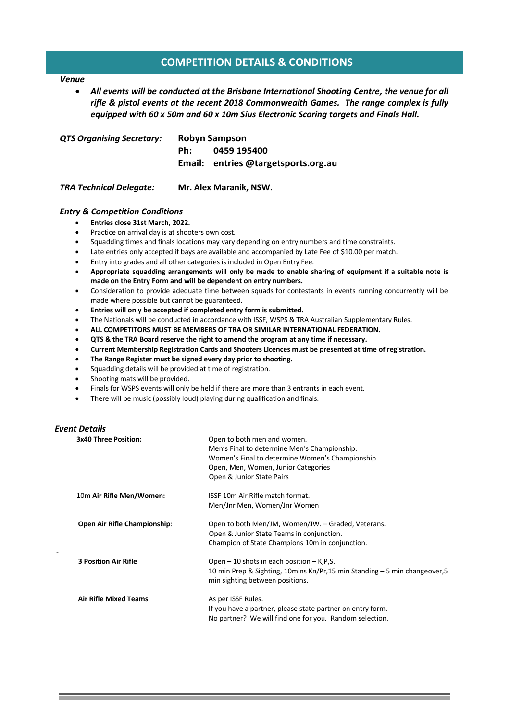# **COMPETITION DETAILS & CONDITIONS**

#### *Venue*

 *All events will be conducted at the Brisbane International Shooting Centre, the venue for all rifle & pistol events at the recent 2018 Commonwealth Games. The range complex is fully equipped with 60 x 50m and 60 x 10m Sius Electronic Scoring targets and Finals Hall.* 

| <b>QTS Organising Secretary:</b> | Robyn Sampson |                                                    |  |
|----------------------------------|---------------|----------------------------------------------------|--|
|                                  | Ph:           | 0459 195400<br>Email: entries @targetsports.org.au |  |
|                                  |               |                                                    |  |

*TRA Technical Delegate:* **Mr. Alex Maranik, NSW.**

#### *Entry & Competition Conditions*

#### **Entries close 31st March, 2022.**

- Practice on arrival day is at shooters own cost.
- Squadding times and finals locations may vary depending on entry numbers and time constraints.
- Late entries only accepted if bays are available and accompanied by Late Fee of \$10.00 per match.
- Entry into grades and all other categories is included in Open Entry Fee.
- **Appropriate squadding arrangements will only be made to enable sharing of equipment if a suitable note is made on the Entry Form and will be dependent on entry numbers.**
- Consideration to provide adequate time between squads for contestants in events running concurrently will be made where possible but cannot be guaranteed.
- **Entries will only be accepted if completed entry form is submitted.**
- The Nationals will be conducted in accordance with ISSF, WSPS & TRA Australian Supplementary Rules.
- **ALL COMPETITORS MUST BE MEMBERS OF TRA OR SIMILAR INTERNATIONAL FEDERATION.**
- **QTS & the TRA Board reserve the right to amend the program at any time if necessary.**
- **Current Membership Registration Cards and Shooters Licences must be presented at time of registration.**
- **The Range Register must be signed every day prior to shooting.**
- Squadding details will be provided at time of registration.
- Shooting mats will be provided.
- Finals for WSPS events will only be held if there are more than 3 entrants in each event.
- There will be music (possibly loud) playing during qualification and finals.

#### *Event Details*

-

| <b>3x40 Three Position:</b>         | Open to both men and women.<br>Men's Final to determine Men's Championship.<br>Women's Final to determine Women's Championship.<br>Open, Men, Women, Junior Categories<br>Open & Junior State Pairs |
|-------------------------------------|-----------------------------------------------------------------------------------------------------------------------------------------------------------------------------------------------------|
| 10m Air Rifle Men/Women:            | ISSF 10m Air Rifle match format.<br>Men/Jnr Men, Women/Jnr Women                                                                                                                                    |
| <b>Open Air Rifle Championship:</b> | Open to both Men/JM, Women/JW. - Graded, Veterans.<br>Open & Junior State Teams in conjunction.<br>Champion of State Champions 10m in conjunction.                                                  |
| <b>3 Position Air Rifle</b>         | Open $-10$ shots in each position $-$ K, P, S.<br>10 min Prep & Sighting, 10 mins Kn/Pr, 15 min Standing – 5 min changeover, 5<br>min sighting between positions.                                   |
| <b>Air Rifle Mixed Teams</b>        | As per ISSF Rules.<br>If you have a partner, please state partner on entry form.<br>No partner? We will find one for you. Random selection.                                                         |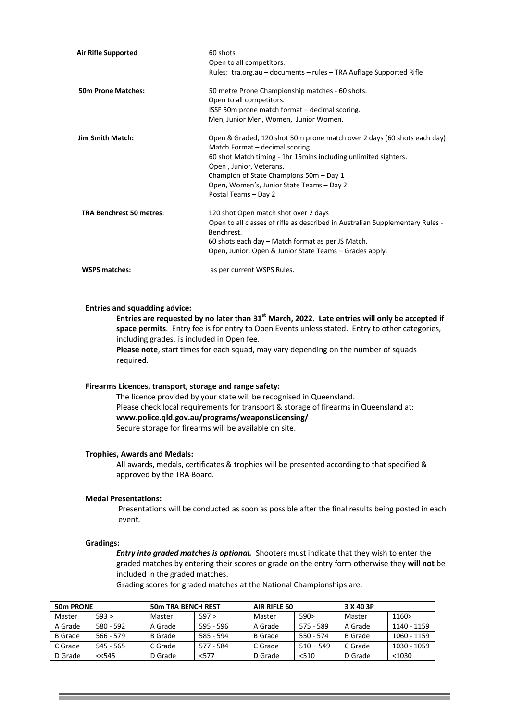| <b>Air Rifle Supported</b>      | 60 shots.                                                                     |
|---------------------------------|-------------------------------------------------------------------------------|
|                                 | Open to all competitors.                                                      |
|                                 | Rules: tra.org.au - documents - rules - TRA Auflage Supported Rifle           |
| <b>50m Prone Matches:</b>       | 50 metre Prone Championship matches - 60 shots.                               |
|                                 | Open to all competitors.                                                      |
|                                 | ISSF 50m prone match format - decimal scoring.                                |
|                                 | Men, Junior Men, Women, Junior Women.                                         |
| <b>Jim Smith Match:</b>         | Open & Graded, 120 shot 50m prone match over 2 days (60 shots each day)       |
|                                 | Match Format - decimal scoring                                                |
|                                 | 60 shot Match timing - 1hr 15mins including unlimited sighters.               |
|                                 | Open, Junior, Veterans.                                                       |
|                                 | Champion of State Champions 50m - Day 1                                       |
|                                 | Open, Women's, Junior State Teams - Day 2                                     |
|                                 | Postal Teams - Day 2                                                          |
| <b>TRA Benchrest 50 metres:</b> | 120 shot Open match shot over 2 days                                          |
|                                 | Open to all classes of rifle as described in Australian Supplementary Rules - |
|                                 | Benchrest.                                                                    |
|                                 | 60 shots each day – Match format as per JS Match.                             |
|                                 | Open, Junior, Open & Junior State Teams – Grades apply.                       |
| <b>WSPS matches:</b>            | as per current WSPS Rules.                                                    |
|                                 |                                                                               |

#### **Entries and squadding advice:**

**Entries are requested by no later than 31st March, 2022. Late entries will only be accepted if space permits**. Entry fee is for entry to Open Events unless stated. Entry to other categories, including grades, is included in Open fee. **Please note**, start times for each squad, may vary depending on the number of squads required.

#### **Firearms Licences, transport, storage and range safety:**

The licence provided by your state will be recognised in Queensland. Please check local requirements for transport & storage of firearms in Queensland at: **www.police.qld.gov.au/programs/weaponsLicensing/** Secure storage for firearms will be available on site.

#### **Trophies, Awards and Medals:**

All awards, medals, certificates & trophies will be presented according to that specified & approved by the TRA Board.

#### **Medal Presentations:**

Presentations will be conducted as soon as possible after the final results being posted in each event.

#### **Gradings:**

 *Entry into graded matches is optional.* Shooters must indicate that they wish to enter the graded matches by entering their scores or grade on the entry form otherwise they **will not** be included in the graded matches.

Grading scores for graded matches at the National Championships are:

| 50m PRONE      |             | <b>50m TRA BENCH REST</b> |           | AIR RIFLE 60   |             | 3 X 40 3P      |             |
|----------------|-------------|---------------------------|-----------|----------------|-------------|----------------|-------------|
| Master         | 593 >       | Master                    | 597 >     | Master         | 590>        | Master         | 1160>       |
| A Grade        | 580 - 592   | A Grade                   | 595 - 596 | A Grade        | $575 - 589$ | A Grade        | 1140 - 1159 |
| <b>B</b> Grade | $566 - 579$ | <b>B</b> Grade            | 585 - 594 | <b>B</b> Grade | 550 - 574   | <b>B</b> Grade | 1060 - 1159 |
| C Grade        | 545 - 565   | C Grade                   | 577 - 584 | C Grade        | $510 - 549$ | C Grade        | 1030 - 1059 |
| D Grade        | $<<$ 545    | D Grade                   | < 577     | D Grade        | < 510       | D Grade        | < 1030      |